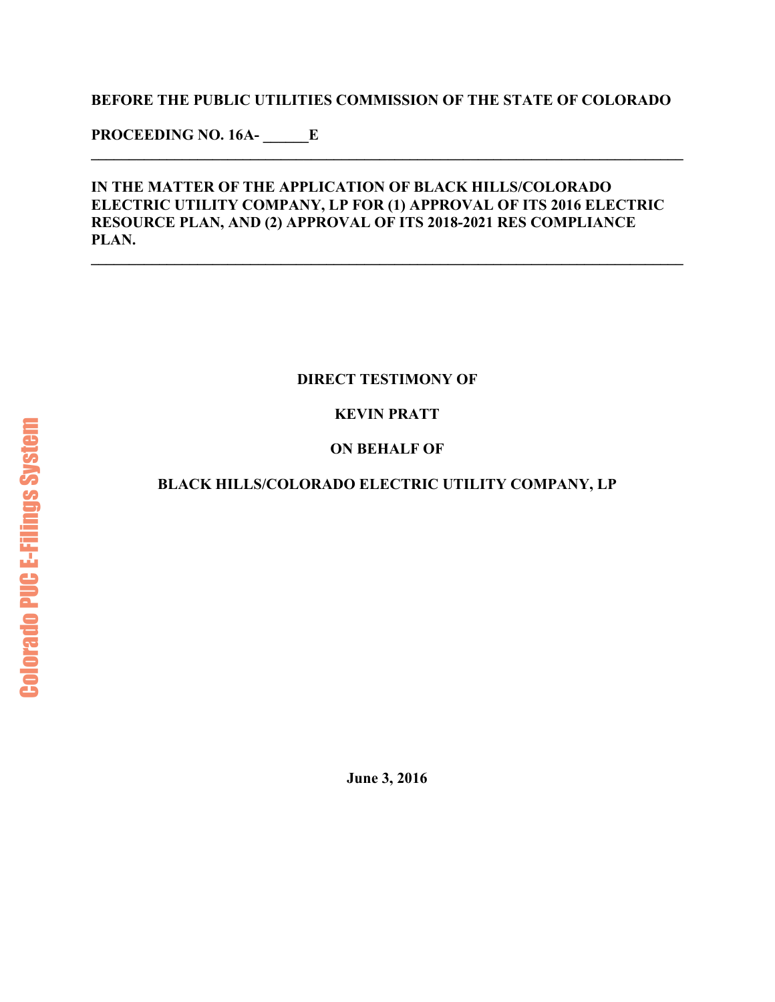#### **BEFORE THE PUBLIC UTILITIES COMMISSION OF THE STATE OF COLORADO**

**\_\_\_\_\_\_\_\_\_\_\_\_\_\_\_\_\_\_\_\_\_\_\_\_\_\_\_\_\_\_\_\_\_\_\_\_\_\_\_\_\_\_\_\_\_\_\_\_\_\_\_\_\_\_\_\_\_\_\_\_\_\_\_\_\_\_\_\_\_\_\_\_\_\_\_\_\_\_** 

**PROCEEDING NO. 16A- \_\_\_\_\_\_E** 

#### **IN THE MATTER OF THE APPLICATION OF BLACK HILLS/COLORADO ELECTRIC UTILITY COMPANY, LP FOR (1) APPROVAL OF ITS 2016 ELECTRIC RESOURCE PLAN, AND (2) APPROVAL OF ITS 2018-2021 RES COMPLIANCE PLAN.**

**\_\_\_\_\_\_\_\_\_\_\_\_\_\_\_\_\_\_\_\_\_\_\_\_\_\_\_\_\_\_\_\_\_\_\_\_\_\_\_\_\_\_\_\_\_\_\_\_\_\_\_\_\_\_\_\_\_\_\_\_\_\_\_\_\_\_\_\_\_\_\_\_\_\_\_\_\_\_** 

## **DIRECT TESTIMONY OF**

# **KEVIN PRATT**

# **ON BEHALF OF**

## **BLACK HILLS/COLORADO ELECTRIC UTILITY COMPANY, LP**

**June 3, 2016**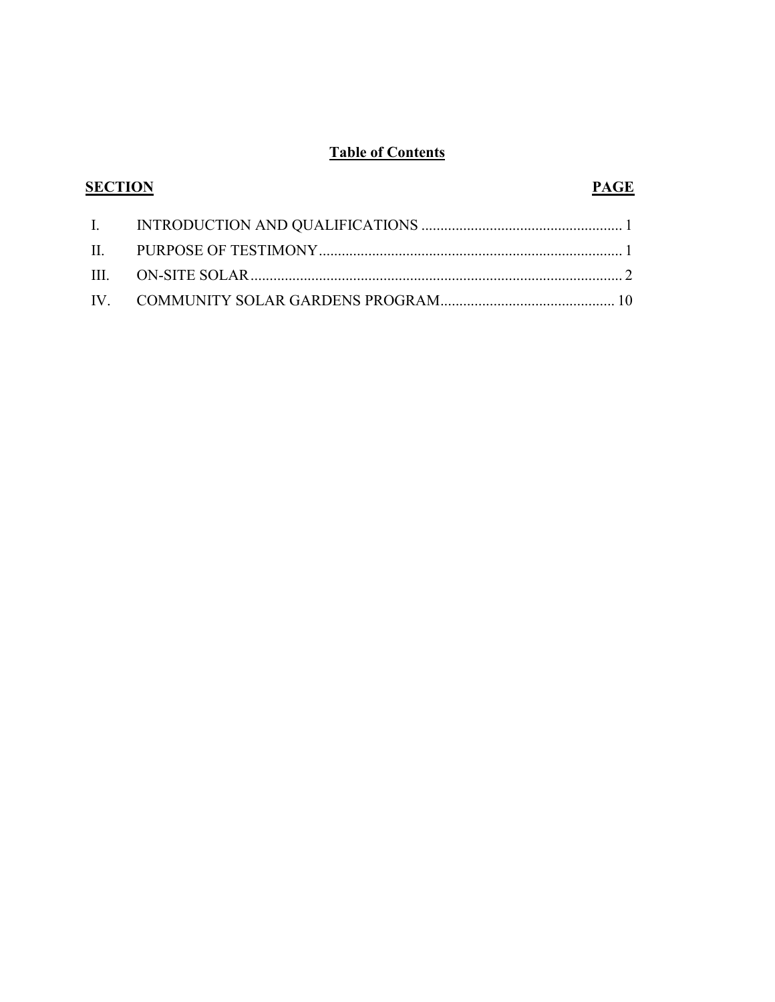# **Table of Contents**

| <b>SECTION</b> |                                    | <b>PAGE</b> |
|----------------|------------------------------------|-------------|
|                |                                    |             |
|                |                                    |             |
|                | III. ON-SITE SOLAR $\ldots$ on $2$ |             |
|                |                                    |             |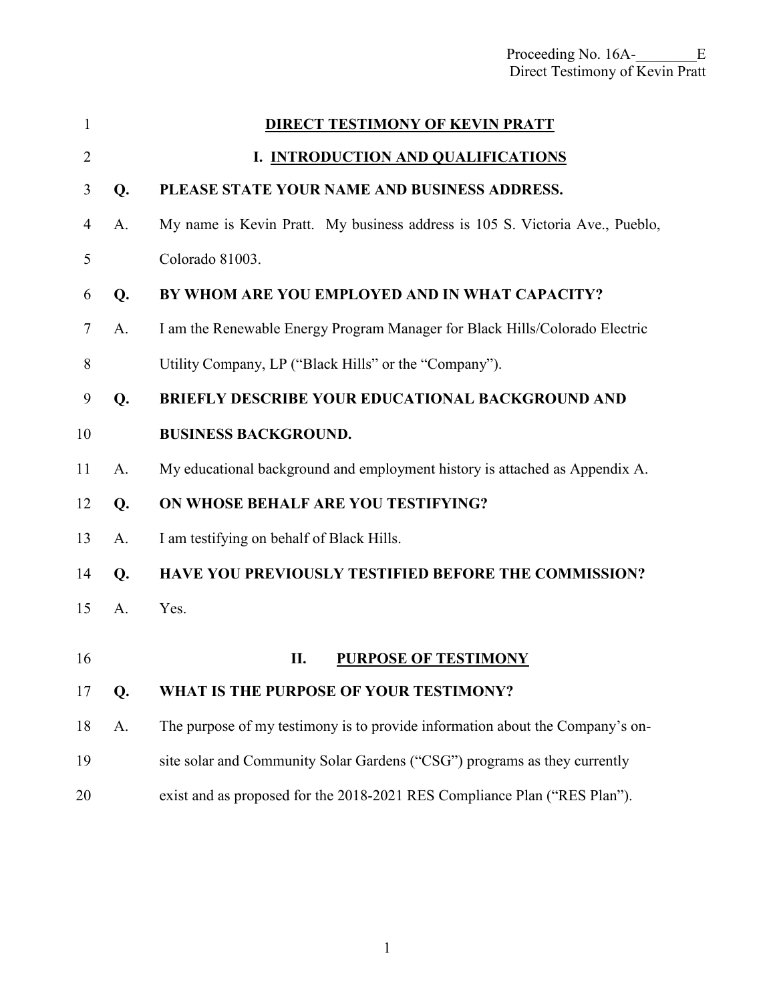<span id="page-2-0"></span>

| 1              |    | <b>DIRECT TESTIMONY OF KEVIN PRATT</b>                                        |
|----------------|----|-------------------------------------------------------------------------------|
| $\overline{2}$ |    | I. INTRODUCTION AND QUALIFICATIONS                                            |
| 3              | Q. | PLEASE STATE YOUR NAME AND BUSINESS ADDRESS.                                  |
| 4              | A. | My name is Kevin Pratt. My business address is 105 S. Victoria Ave., Pueblo,  |
| 5              |    | Colorado 81003.                                                               |
| 6              | Q. | BY WHOM ARE YOU EMPLOYED AND IN WHAT CAPACITY?                                |
| 7              | A. | I am the Renewable Energy Program Manager for Black Hills/Colorado Electric   |
| 8              |    | Utility Company, LP ("Black Hills" or the "Company").                         |
| 9              | Q. | <b>BRIEFLY DESCRIBE YOUR EDUCATIONAL BACKGROUND AND</b>                       |
| 10             |    | <b>BUSINESS BACKGROUND.</b>                                                   |
| 11             | A. | My educational background and employment history is attached as Appendix A.   |
| 12             | Q. | ON WHOSE BEHALF ARE YOU TESTIFYING?                                           |
| 13             | A. | I am testifying on behalf of Black Hills.                                     |
| 14             | Q. | <b>HAVE YOU PREVIOUSLY TESTIFIED BEFORE THE COMMISSION?</b>                   |
| 15             | A. | Yes.                                                                          |
| 16             |    | <b>PURPOSE OF TESTIMONY</b><br>П.                                             |
|                |    |                                                                               |
| 17             | Q. | WHAT IS THE PURPOSE OF YOUR TESTIMONY?                                        |
| 18             | A. | The purpose of my testimony is to provide information about the Company's on- |
| 19             |    | site solar and Community Solar Gardens ("CSG") programs as they currently     |
| 20             |    | exist and as proposed for the 2018-2021 RES Compliance Plan ("RES Plan").     |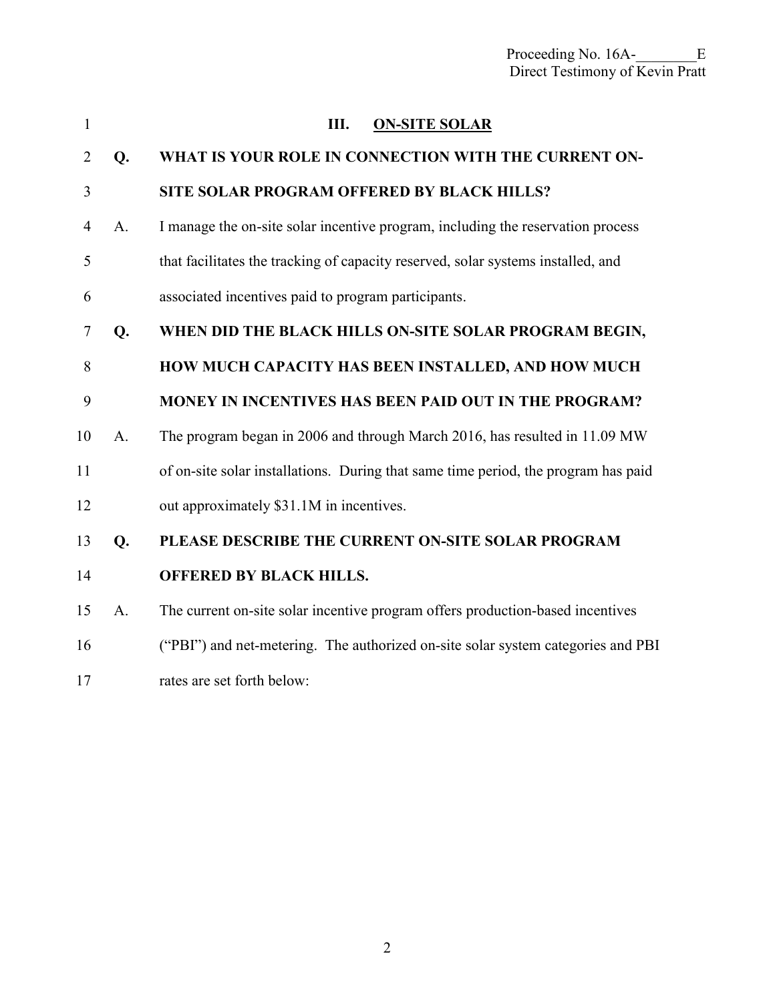<span id="page-3-0"></span>

| 1              |                | Ш.<br><b>ON-SITE SOLAR</b>                                                         |  |  |
|----------------|----------------|------------------------------------------------------------------------------------|--|--|
| $\overline{2}$ | Q.             | WHAT IS YOUR ROLE IN CONNECTION WITH THE CURRENT ON-                               |  |  |
| 3              |                | SITE SOLAR PROGRAM OFFERED BY BLACK HILLS?                                         |  |  |
| $\overline{4}$ | A.             | I manage the on-site solar incentive program, including the reservation process    |  |  |
| 5              |                | that facilitates the tracking of capacity reserved, solar systems installed, and   |  |  |
| 6              |                | associated incentives paid to program participants.                                |  |  |
| 7              | Q.             | WHEN DID THE BLACK HILLS ON-SITE SOLAR PROGRAM BEGIN,                              |  |  |
| 8              |                | HOW MUCH CAPACITY HAS BEEN INSTALLED, AND HOW MUCH                                 |  |  |
| 9              |                | <b>MONEY IN INCENTIVES HAS BEEN PAID OUT IN THE PROGRAM?</b>                       |  |  |
| 10             | A <sub>1</sub> | The program began in 2006 and through March 2016, has resulted in 11.09 MW         |  |  |
| 11             |                | of on-site solar installations. During that same time period, the program has paid |  |  |
| 12             |                | out approximately \$31.1M in incentives.                                           |  |  |
| 13             | Q.             | PLEASE DESCRIBE THE CURRENT ON-SITE SOLAR PROGRAM                                  |  |  |
| 14             |                | <b>OFFERED BY BLACK HILLS.</b>                                                     |  |  |
| 15             | A.             | The current on-site solar incentive program offers production-based incentives     |  |  |
| 16             |                | ("PBI") and net-metering. The authorized on-site solar system categories and PBI   |  |  |
| 17             |                | rates are set forth below:                                                         |  |  |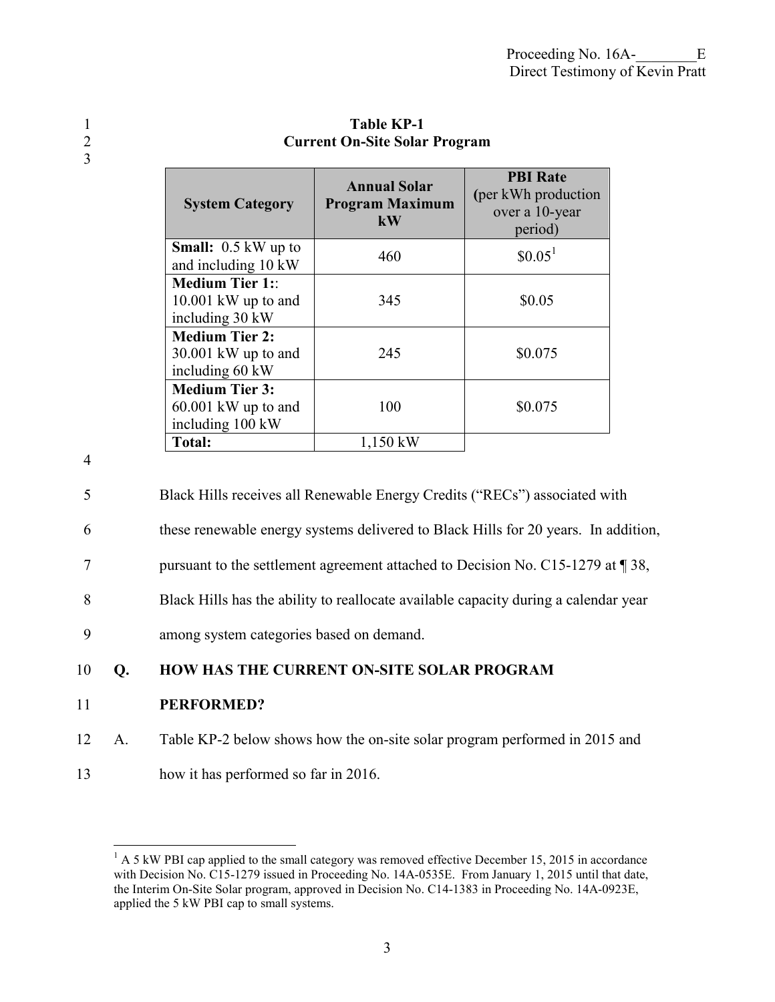| <b>System Category</b>                                             | <b>Annual Solar</b><br><b>Program Maximum</b><br>$\mathbf{k}$ <b>W</b> | <b>PBI</b> Rate<br>(per kWh production<br>over a 10-year<br>period) |
|--------------------------------------------------------------------|------------------------------------------------------------------------|---------------------------------------------------------------------|
| <b>Small:</b> $0.5$ kW up to<br>and including 10 kW                | 460                                                                    | $$0.05^1$                                                           |
| <b>Medium Tier 1::</b><br>$10.001$ kW up to and<br>including 30 kW | 345                                                                    | \$0.05                                                              |
| <b>Medium Tier 2:</b><br>$30.001$ kW up to and<br>including 60 kW  | 245                                                                    | \$0.075                                                             |
| <b>Medium Tier 3:</b><br>$60.001$ kW up to and<br>including 100 kW | 100                                                                    | \$0.075                                                             |
| <b>Total:</b>                                                      | $1,150$ kW                                                             |                                                                     |

## 1 Table KP-1<br>2 Current On-Site Solar 2 **Current On-Site Solar Program**

4

3

5 Black Hills receives all Renewable Energy Credits ("RECs") associated with

- 6 these renewable energy systems delivered to Black Hills for 20 years. In addition,
- 7 pursuant to the settlement agreement attached to Decision No. C15-1279 at ¶ 38,
- 8 Black Hills has the ability to reallocate available capacity during a calendar year

9 among system categories based on demand.

#### 10 **Q. HOW HAS THE CURRENT ON-SITE SOLAR PROGRAM**

#### 11 **PERFORMED?**

- 12 A. Table KP-2 below shows how the on-site solar program performed in 2015 and
- 13 how it has performed so far in 2016.

<sup>&</sup>lt;sup>1</sup> A 5 kW PBI cap applied to the small category was removed effective December 15, 2015 in accordance with Decision No. C15-1279 issued in Proceeding No. 14A-0535E. From January 1, 2015 until that date, the Interim On-Site Solar program, approved in Decision No. C14-1383 in Proceeding No. 14A-0923E, applied the 5 kW PBI cap to small systems.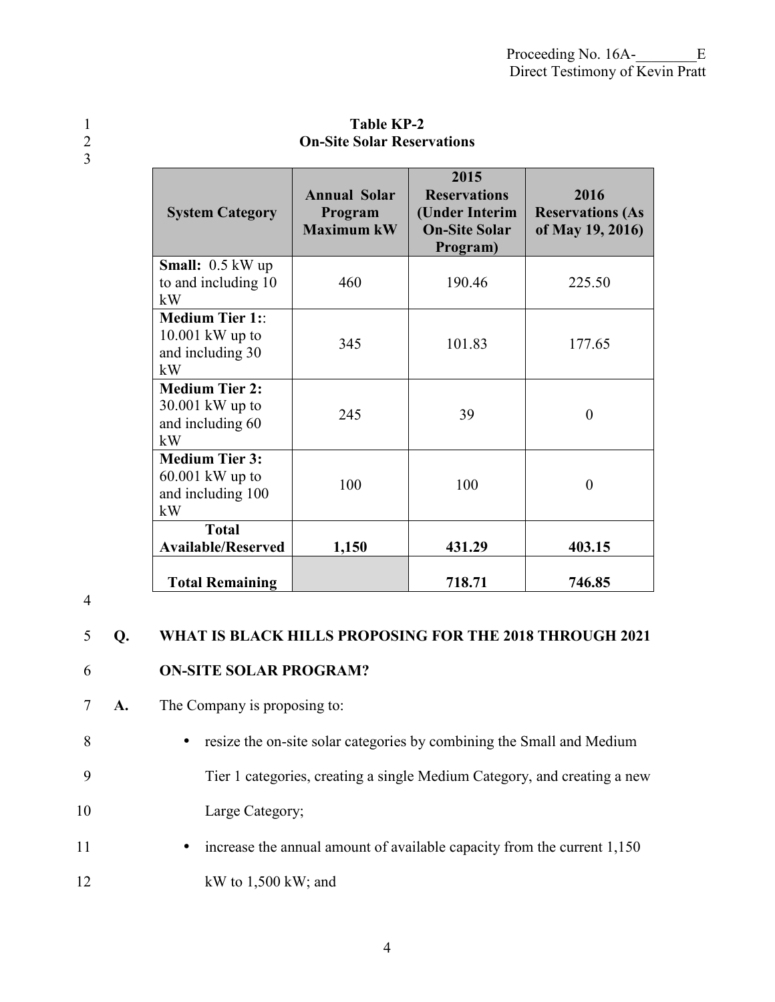1 Table KP-2<br>2 **On-Site Solar Reser On-Site Solar Reservations** 

| <b>System Category</b>                                                | <b>Annual Solar</b><br>Program<br><b>Maximum kW</b> | 2015<br><b>Reservations</b><br>(Under Interim<br><b>On-Site Solar</b><br>Program) | 2016<br><b>Reservations (As</b><br>of May 19, 2016) |
|-----------------------------------------------------------------------|-----------------------------------------------------|-----------------------------------------------------------------------------------|-----------------------------------------------------|
| <b>Small:</b> $0.5 \text{ kW up}$<br>to and including 10<br>kW        | 460                                                 | 190.46                                                                            | 225.50                                              |
| <b>Medium Tier 1::</b><br>$10.001$ kW up to<br>and including 30<br>kW | 345                                                 | 101.83                                                                            | 177.65                                              |
| <b>Medium Tier 2:</b><br>30.001 kW up to<br>and including 60<br>kW    | 245                                                 | 39                                                                                | $\theta$                                            |
| <b>Medium Tier 3:</b><br>$60.001$ kW up to<br>and including 100<br>kW | 100                                                 | 100                                                                               | $\theta$                                            |
| <b>Total</b><br><b>Available/Reserved</b>                             | 1,150                                               | 431.29                                                                            | 403.15                                              |
| <b>Total Remaining</b>                                                |                                                     | 718.71                                                                            | 746.85                                              |

4

3

## 5 **Q. WHAT IS BLACK HILLS PROPOSING FOR THE 2018 THROUGH 2021**

# 6 **ON-SITE SOLAR PROGRAM?**

- 7 **A.** The Company is proposing to:
- 8 resize the on-site solar categories by combining the Small and Medium 9 Tier 1 categories, creating a single Medium Category, and creating a new
- 10 Large Category;
- 11 increase the annual amount of available capacity from the current 1,150
- 12 kW to 1,500 kW; and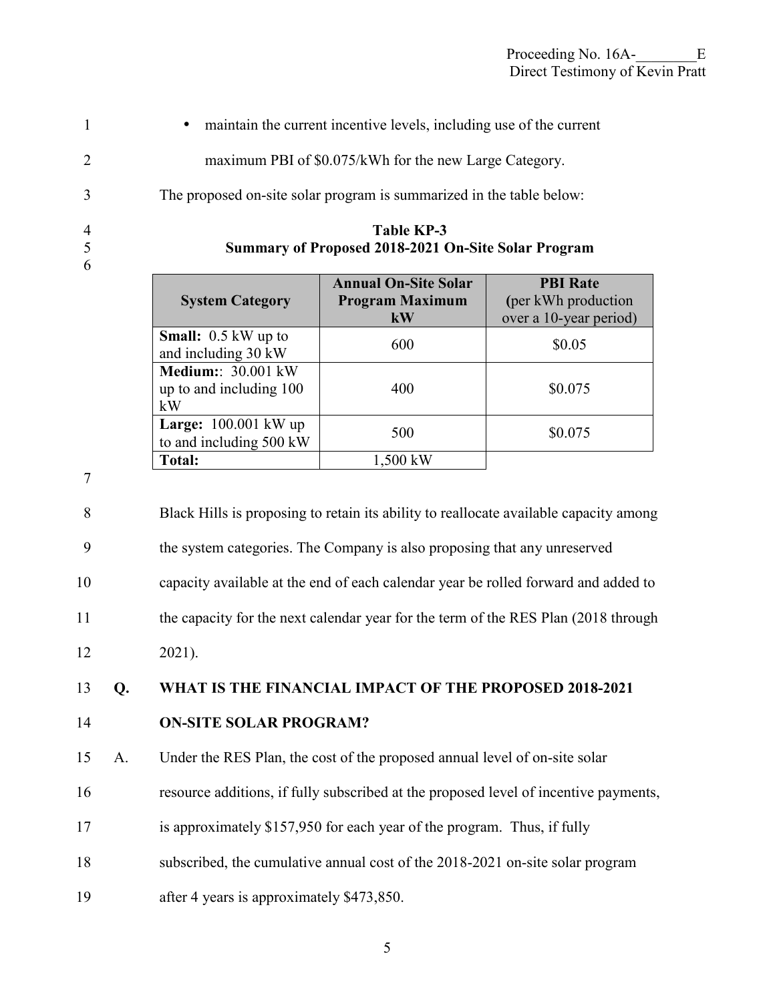| $\overline{1}$ | • maintain the current incentive levels, including use of the current |
|----------------|-----------------------------------------------------------------------|
|                | maximum PBI of \$0.075/kWh for the new Large Category.                |
| $\mathcal{E}$  | The proposed on-site solar program is summarized in the table below:  |

- 
- 6

| $\overline{4}$<br>5<br>6 |                                                   | Table KP-3<br>Summary of Proposed 2018-2021 On-Site Solar Program |                                         |
|--------------------------|---------------------------------------------------|-------------------------------------------------------------------|-----------------------------------------|
|                          | <b>System Category</b>                            | <b>Annual On-Site Solar</b><br><b>Program Maximum</b>             | <b>PBI Rate</b><br>(per kWh production) |
|                          |                                                   | kW                                                                | over a 10-year period)                  |
|                          | <b>Small:</b> 0.5 kW up to<br>and including 30 kW | 600                                                               | \$0.05                                  |

400 \$0.075

7

8 Black Hills is proposing to retain its ability to reallocate available capacity among 9 the system categories. The Company is also proposing that any unreserved 10 capacity available at the end of each calendar year be rolled forward and added to 11 the capacity for the next calendar year for the term of the RES Plan (2018 through 12 2021).

 $\begin{array}{c|c}\n\textbf{Large:} & 100.001 \text{ KW up} \\
\textbf{to and including } 500 \text{ kW}\n\end{array}$  500 \$0.075

# 13 **Q. WHAT IS THE FINANCIAL IMPACT OF THE PROPOSED 2018-2021**

# 14 **ON-SITE SOLAR PROGRAM?**

**Medium:**: 30.001 kW up to and including 100

**Large:** 100.001 kW up

**Total:** 1,500 kW

kW

15 A. Under the RES Plan, the cost of the proposed annual level of on-site solar

- 16 resource additions, if fully subscribed at the proposed level of incentive payments,
- 17 is approximately \$157,950 for each year of the program. Thus, if fully
- 18 subscribed, the cumulative annual cost of the 2018-2021 on-site solar program
- 19 after 4 years is approximately \$473,850.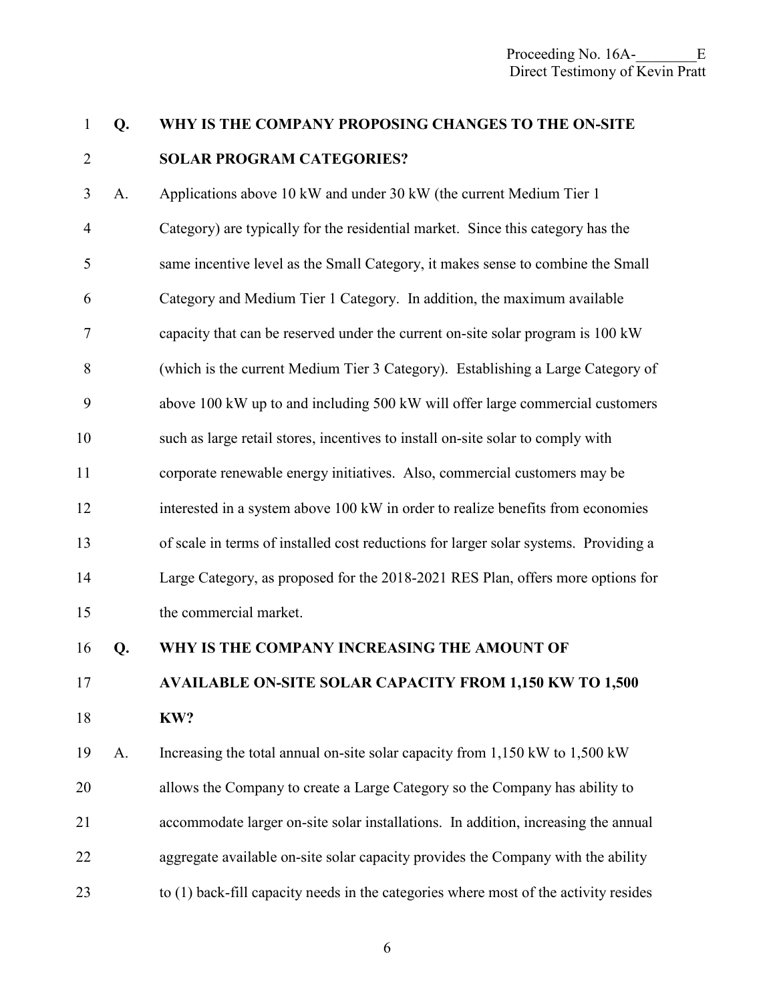# 1 **Q. WHY IS THE COMPANY PROPOSING CHANGES TO THE ON-SITE**  2 **SOLAR PROGRAM CATEGORIES?**

3 A. Applications above 10 kW and under 30 kW (the current Medium Tier 1 4 Category) are typically for the residential market. Since this category has the 5 same incentive level as the Small Category, it makes sense to combine the Small 6 Category and Medium Tier 1 Category. In addition, the maximum available 7 capacity that can be reserved under the current on-site solar program is 100 kW 8 (which is the current Medium Tier 3 Category). Establishing a Large Category of 9 above 100 kW up to and including 500 kW will offer large commercial customers 10 such as large retail stores, incentives to install on-site solar to comply with 11 corporate renewable energy initiatives. Also, commercial customers may be 12 interested in a system above 100 kW in order to realize benefits from economies 13 of scale in terms of installed cost reductions for larger solar systems. Providing a 14 Large Category, as proposed for the 2018-2021 RES Plan, offers more options for 15 the commercial market.

16 **Q. WHY IS THE COMPANY INCREASING THE AMOUNT OF** 

# 17 **AVAILABLE ON-SITE SOLAR CAPACITY FROM 1,150 KW TO 1,500**

18 **KW?** 

19 A. Increasing the total annual on-site solar capacity from 1,150 kW to 1,500 kW 20 allows the Company to create a Large Category so the Company has ability to 21 accommodate larger on-site solar installations. In addition, increasing the annual 22 aggregate available on-site solar capacity provides the Company with the ability 23 to (1) back-fill capacity needs in the categories where most of the activity resides

6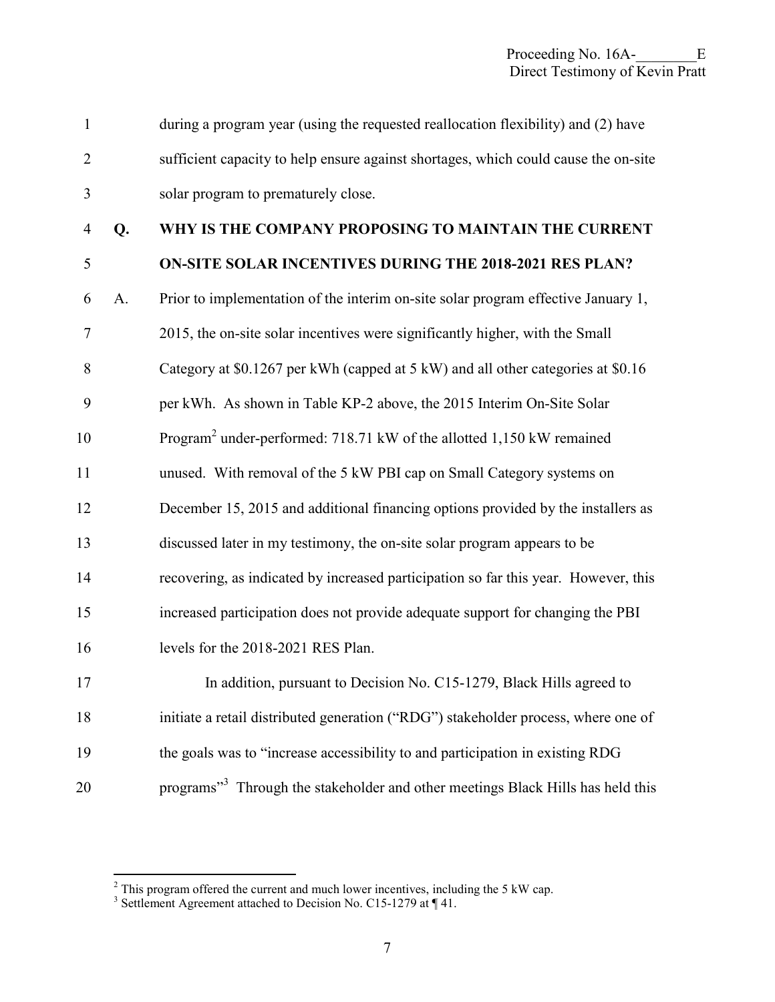| $\mathbf{1}$   |    | during a program year (using the requested reallocation flexibility) and (2) have           |
|----------------|----|---------------------------------------------------------------------------------------------|
| $\overline{2}$ |    | sufficient capacity to help ensure against shortages, which could cause the on-site         |
| 3              |    | solar program to prematurely close.                                                         |
| $\overline{4}$ | Q. | WHY IS THE COMPANY PROPOSING TO MAINTAIN THE CURRENT                                        |
| 5              |    | ON-SITE SOLAR INCENTIVES DURING THE 2018-2021 RES PLAN?                                     |
| 6              | A. | Prior to implementation of the interim on-site solar program effective January 1,           |
| 7              |    | 2015, the on-site solar incentives were significantly higher, with the Small                |
| 8              |    | Category at \$0.1267 per kWh (capped at 5 kW) and all other categories at \$0.16            |
| 9              |    | per kWh. As shown in Table KP-2 above, the 2015 Interim On-Site Solar                       |
| 10             |    | Program <sup>2</sup> under-performed: 718.71 kW of the allotted 1,150 kW remained           |
| 11             |    | unused. With removal of the 5 kW PBI cap on Small Category systems on                       |
| 12             |    | December 15, 2015 and additional financing options provided by the installers as            |
| 13             |    | discussed later in my testimony, the on-site solar program appears to be                    |
| 14             |    | recovering, as indicated by increased participation so far this year. However, this         |
| 15             |    | increased participation does not provide adequate support for changing the PBI              |
| 16             |    | levels for the 2018-2021 RES Plan.                                                          |
| 17             |    | In addition, pursuant to Decision No. C15-1279, Black Hills agreed to                       |
| 18             |    | initiate a retail distributed generation ("RDG") stakeholder process, where one of          |
| 19             |    | the goals was to "increase accessibility to and participation in existing RDG               |
| 20             |    | programs" <sup>3</sup> Through the stakeholder and other meetings Black Hills has held this |

<sup>&</sup>lt;sup>2</sup> This program offered the current and much lower incentives, including the 5 kW cap.<br><sup>3</sup> Settlement Agreement attached to Decision No. C15-1279 at ¶ 41.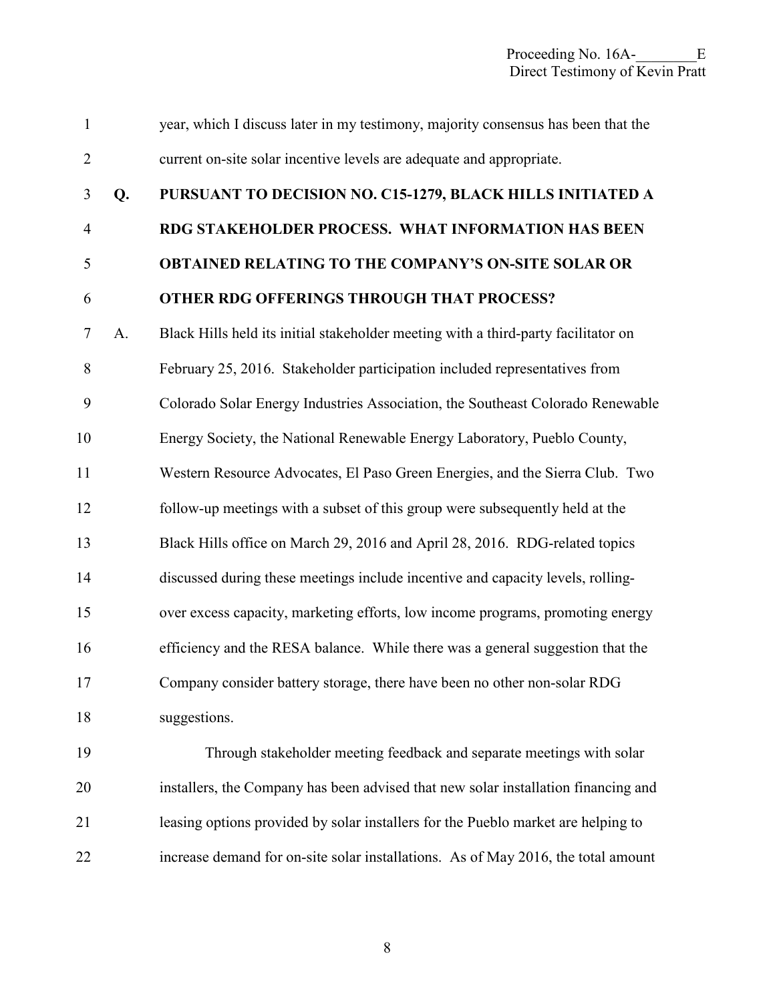| $\mathbf{1}$   |    | year, which I discuss later in my testimony, majority consensus has been that the  |
|----------------|----|------------------------------------------------------------------------------------|
| $\overline{2}$ |    | current on-site solar incentive levels are adequate and appropriate.               |
| 3              | Q. | PURSUANT TO DECISION NO. C15-1279, BLACK HILLS INITIATED A                         |
| $\overline{4}$ |    | RDG STAKEHOLDER PROCESS. WHAT INFORMATION HAS BEEN                                 |
| 5              |    | <b>OBTAINED RELATING TO THE COMPANY'S ON-SITE SOLAR OR</b>                         |
| 6              |    | OTHER RDG OFFERINGS THROUGH THAT PROCESS?                                          |
| $\tau$         | A. | Black Hills held its initial stakeholder meeting with a third-party facilitator on |
| 8              |    | February 25, 2016. Stakeholder participation included representatives from         |
| 9              |    | Colorado Solar Energy Industries Association, the Southeast Colorado Renewable     |
| 10             |    | Energy Society, the National Renewable Energy Laboratory, Pueblo County,           |
| 11             |    | Western Resource Advocates, El Paso Green Energies, and the Sierra Club. Two       |
| 12             |    | follow-up meetings with a subset of this group were subsequently held at the       |
| 13             |    | Black Hills office on March 29, 2016 and April 28, 2016. RDG-related topics        |
| 14             |    | discussed during these meetings include incentive and capacity levels, rolling-    |
| 15             |    | over excess capacity, marketing efforts, low income programs, promoting energy     |
| 16             |    | efficiency and the RESA balance. While there was a general suggestion that the     |
| 17             |    | Company consider battery storage, there have been no other non-solar RDG           |
| 18             |    | suggestions.                                                                       |
| 19             |    | Through stakeholder meeting feedback and separate meetings with solar              |
| 20             |    | installers, the Company has been advised that new solar installation financing and |
| 21             |    | leasing options provided by solar installers for the Pueblo market are helping to  |
| 22             |    | increase demand for on-site solar installations. As of May 2016, the total amount  |

8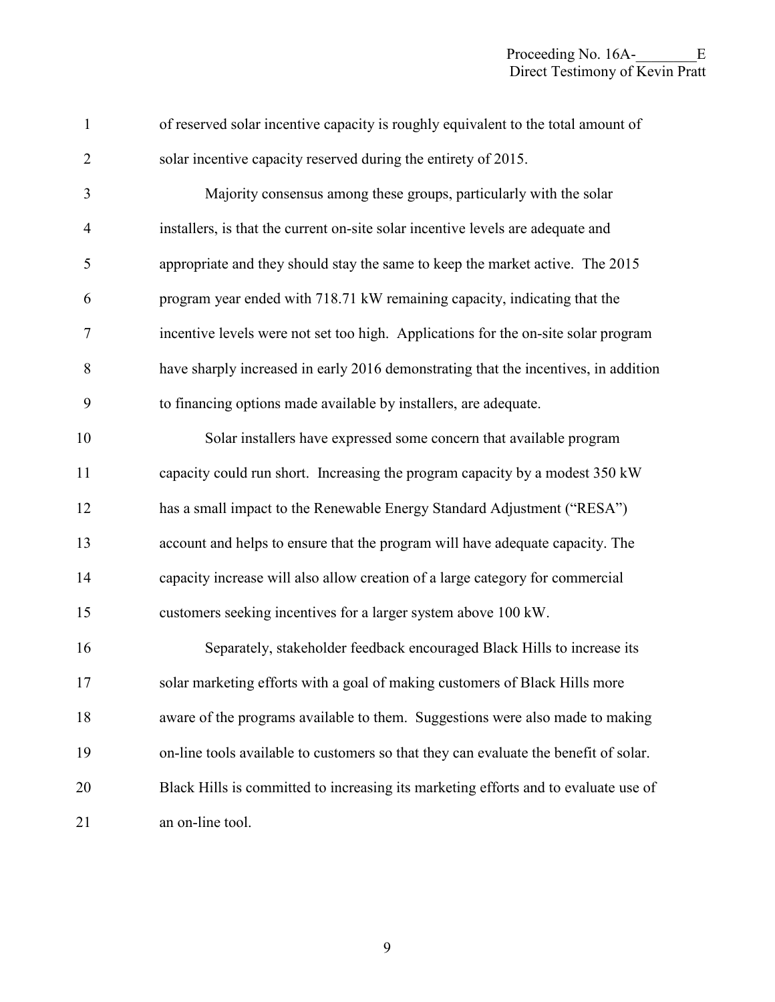| $\mathbf{1}$   | of reserved solar incentive capacity is roughly equivalent to the total amount of    |
|----------------|--------------------------------------------------------------------------------------|
| $\overline{2}$ | solar incentive capacity reserved during the entirety of 2015.                       |
| 3              | Majority consensus among these groups, particularly with the solar                   |
| $\overline{4}$ | installers, is that the current on-site solar incentive levels are adequate and      |
| 5              | appropriate and they should stay the same to keep the market active. The 2015        |
| 6              | program year ended with 718.71 kW remaining capacity, indicating that the            |
| $\tau$         | incentive levels were not set too high. Applications for the on-site solar program   |
| $\, 8$         | have sharply increased in early 2016 demonstrating that the incentives, in addition  |
| 9              | to financing options made available by installers, are adequate.                     |
| 10             | Solar installers have expressed some concern that available program                  |
| 11             | capacity could run short. Increasing the program capacity by a modest 350 kW         |
| 12             | has a small impact to the Renewable Energy Standard Adjustment ("RESA")              |
| 13             | account and helps to ensure that the program will have adequate capacity. The        |
| 14             | capacity increase will also allow creation of a large category for commercial        |
| 15             | customers seeking incentives for a larger system above 100 kW.                       |
| 16             | Separately, stakeholder feedback encouraged Black Hills to increase its              |
| 17             | solar marketing efforts with a goal of making customers of Black Hills more          |
| 18             | aware of the programs available to them. Suggestions were also made to making        |
| 19             | on-line tools available to customers so that they can evaluate the benefit of solar. |
| 20             | Black Hills is committed to increasing its marketing efforts and to evaluate use of  |
| 21             | an on-line tool.                                                                     |

9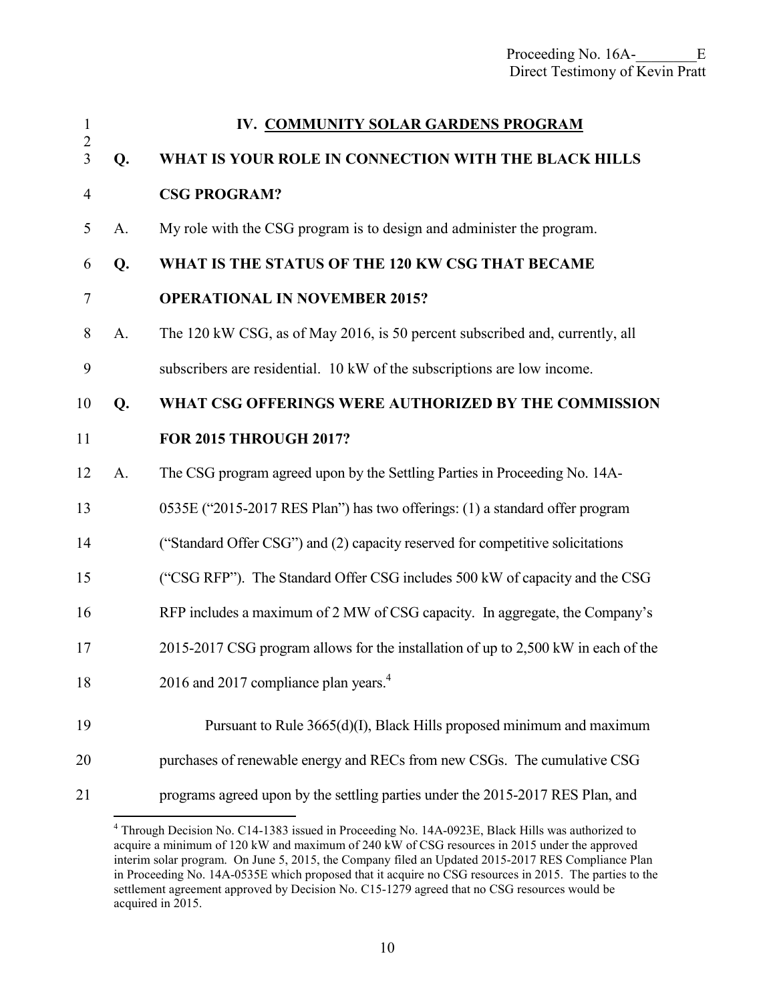<span id="page-11-0"></span>

| $\mathbf{1}$                 |       | IV. COMMUNITY SOLAR GARDENS PROGRAM                                                |
|------------------------------|-------|------------------------------------------------------------------------------------|
| $\sqrt{2}$<br>$\overline{3}$ | Q.    | WHAT IS YOUR ROLE IN CONNECTION WITH THE BLACK HILLS                               |
| $\overline{4}$               |       | <b>CSG PROGRAM?</b>                                                                |
| 5                            | A.    | My role with the CSG program is to design and administer the program.              |
| 6                            | Q.    | WHAT IS THE STATUS OF THE 120 KW CSG THAT BECAME                                   |
| 7                            |       | <b>OPERATIONAL IN NOVEMBER 2015?</b>                                               |
| $8\,$                        | A.    | The 120 kW CSG, as of May 2016, is 50 percent subscribed and, currently, all       |
| 9                            |       | subscribers are residential. 10 kW of the subscriptions are low income.            |
| 10                           | Q.    | WHAT CSG OFFERINGS WERE AUTHORIZED BY THE COMMISSION                               |
| 11                           |       | <b>FOR 2015 THROUGH 2017?</b>                                                      |
| 12                           | $A$ . | The CSG program agreed upon by the Settling Parties in Proceeding No. 14A-         |
| 13                           |       | 0535E ("2015-2017 RES Plan") has two offerings: (1) a standard offer program       |
| 14                           |       | ("Standard Offer CSG") and (2) capacity reserved for competitive solicitations     |
| 15                           |       | ("CSG RFP"). The Standard Offer CSG includes 500 kW of capacity and the CSG        |
| 16                           |       | RFP includes a maximum of 2 MW of CSG capacity. In aggregate, the Company's        |
| 17                           |       | 2015-2017 CSG program allows for the installation of up to 2,500 kW in each of the |
| 18                           |       | 2016 and 2017 compliance plan years. <sup>4</sup>                                  |
| 19                           |       | Pursuant to Rule 3665(d)(I), Black Hills proposed minimum and maximum              |
| 20                           |       | purchases of renewable energy and RECs from new CSGs. The cumulative CSG           |
| 21                           |       | programs agreed upon by the settling parties under the 2015-2017 RES Plan, and     |

 4 Through Decision No. C14-1383 issued in Proceeding No. 14A-0923E, Black Hills was authorized to acquire a minimum of 120 kW and maximum of 240 kW of CSG resources in 2015 under the approved interim solar program. On June 5, 2015, the Company filed an Updated 2015-2017 RES Compliance Plan in Proceeding No. 14A-0535E which proposed that it acquire no CSG resources in 2015. The parties to the settlement agreement approved by Decision No. C15-1279 agreed that no CSG resources would be acquired in 2015.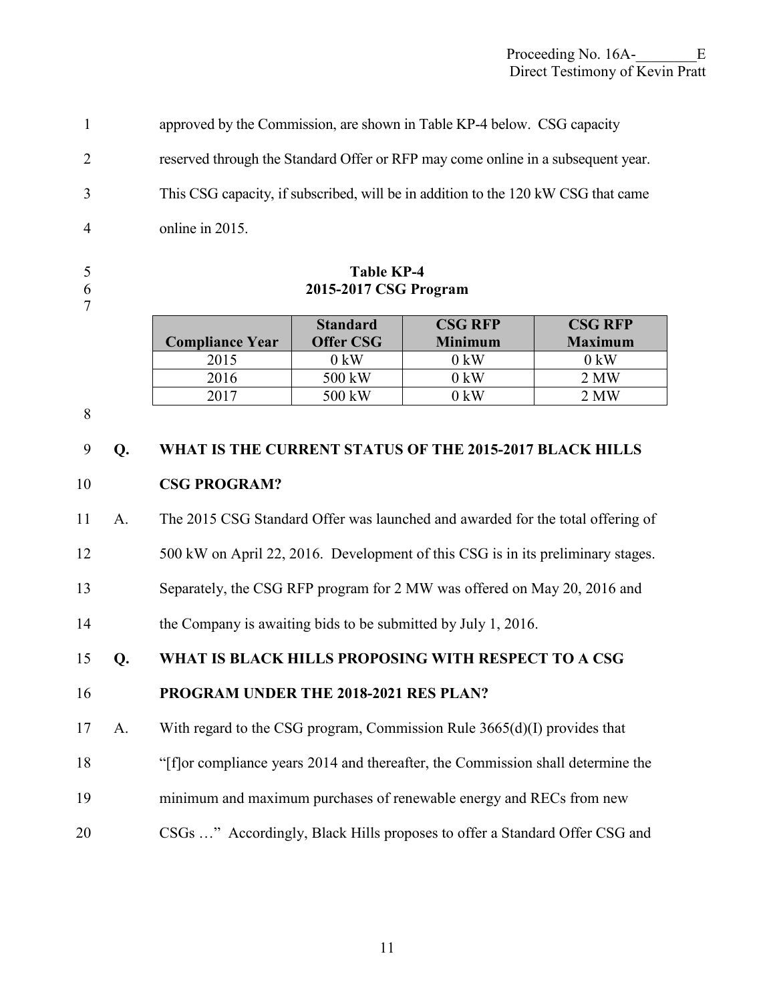#### Proceeding No. 16A-<br>E Direct Testimony of Kevin Pratt

1 approved by the Commission, are shown in Table KP-4 below. CSG capacity 2 reserved through the Standard Offer or RFP may come online in a subsequent year. 3 This CSG capacity, if subscribed, will be in addition to the 120 kW CSG that came 4 online in 2015.

### 5 **Table KP-4**  6 **2015-2017 CSG Program**

|                        | <b>Standard</b>  | <b>CSG RFP</b> | <b>CSG RFP</b> |
|------------------------|------------------|----------------|----------------|
| <b>Compliance Year</b> | <b>Offer CSG</b> | <b>Minimum</b> | <b>Maximum</b> |
| 2015                   | $0 \text{ kW}$   | 0 kW           | $0 \text{ kW}$ |
| 2016                   | 500 kW           | 0 kW           | 2 MW           |
|                        | 500 kW           | ) kW           | 2 MW           |

8

7

# 9 **Q. WHAT IS THE CURRENT STATUS OF THE 2015-2017 BLACK HILLS**  10 **CSG PROGRAM?**

11 A. The 2015 CSG Standard Offer was launched and awarded for the total offering of

12 500 kW on April 22, 2016. Development of this CSG is in its preliminary stages.

13 Separately, the CSG RFP program for 2 MW was offered on May 20, 2016 and

14 the Company is awaiting bids to be submitted by July 1, 2016.

15 **Q. WHAT IS BLACK HILLS PROPOSING WITH RESPECT TO A CSG** 

# 16 **PROGRAM UNDER THE 2018-2021 RES PLAN?**

17 A. With regard to the CSG program, Commission Rule 3665(d)(I) provides that

18 "[f]or compliance years 2014 and thereafter, the Commission shall determine the

- 19 minimum and maximum purchases of renewable energy and RECs from new
- 20 CSGs …" Accordingly, Black Hills proposes to offer a Standard Offer CSG and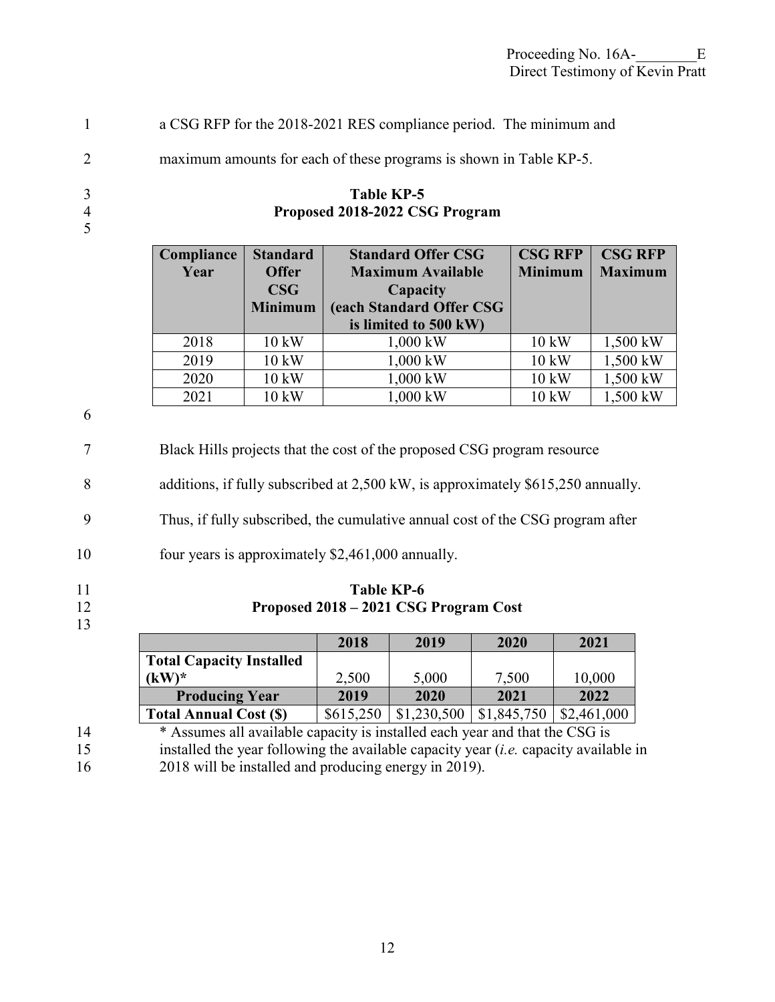| a CSG RFP for the 2018-2021 RES compliance period. The minimum and |  |
|--------------------------------------------------------------------|--|
|--------------------------------------------------------------------|--|

2 maximum amounts for each of these programs is shown in Table KP-5.

# 3 **Table KP-5**  4 **Proposed 2018-2022 CSG Program**

| Compliance | <b>Standard</b> | <b>Standard Offer CSG</b> | <b>CSG RFP</b>  | <b>CSG RFP</b> |
|------------|-----------------|---------------------------|-----------------|----------------|
| Year       | <b>Offer</b>    | <b>Maximum Available</b>  | <b>Minimum</b>  | <b>Maximum</b> |
|            | $\bf{CSG}$      | Capacity                  |                 |                |
|            | <b>Minimum</b>  | (each Standard Offer CSG  |                 |                |
|            |                 | is limited to 500 kW)     |                 |                |
| 2018       | 10 kW           | 1,000 kW                  | $10 \text{ kW}$ | 1,500 kW       |
| 2019       | 10 kW           | 1,000 kW                  | $10 \text{ kW}$ | 1,500 kW       |
| 2020       | 10 kW           | 1,000 kW                  | 10 kW           | 1,500 kW       |
| 2021       | 10 kW           | 1,000 kW                  | 10 kW           | 1,500 kW       |

6

5

7 Black Hills projects that the cost of the proposed CSG program resource

8 additions, if fully subscribed at 2,500 kW, is approximately \$615,250 annually.

9 Thus, if fully subscribed, the cumulative annual cost of the CSG program after

10 four years is approximately \$2,461,000 annually.

13

11 **Table KP-6**<br>12 **Proposed 2018 – 2021 CSG** 12 **Proposed 2018 – 2021 CSG Program Cost** 

|                                 | 2018      | 2019    | 2020     | 2021        |
|---------------------------------|-----------|---------|----------|-------------|
| <b>Total Capacity Installed</b> |           |         |          |             |
| $(kW)^*$                        | 2,500     | 5,000   | 7,500    | 10,000      |
| <b>Producing Year</b>           | 2019      | 2020    | 2021     | 2022        |
| <b>Total Annual Cost (\$)</b>   | \$615,250 | 230,500 | .845,750 | \$2,461,000 |

<sup>\*</sup> Assumes all available capacity is installed each year and that the CSG is

15 installed the year following the available capacity year (*i.e.* capacity available in 16 2018 will be installed and producing energy in 2019).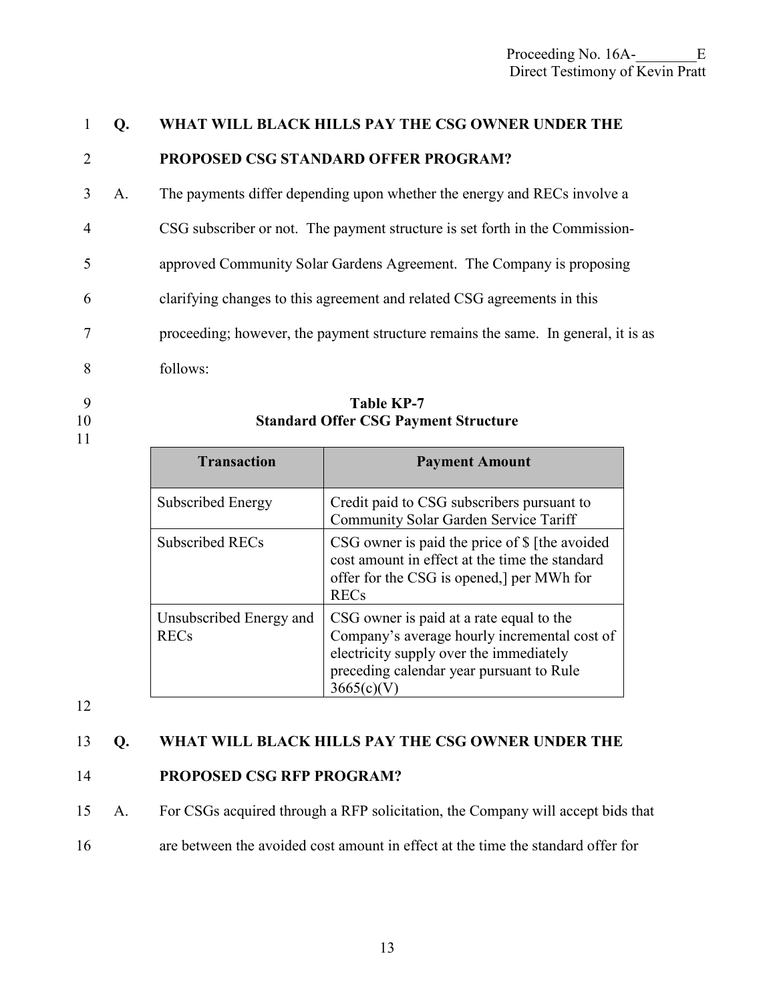# 1 **Q. WHAT WILL BLACK HILLS PAY THE CSG OWNER UNDER THE**  2 **PROPOSED CSG STANDARD OFFER PROGRAM?**

- 3 A. The payments differ depending upon whether the energy and RECs involve a
- 4 CSG subscriber or not. The payment structure is set forth in the Commission-
- 5 approved Community Solar Gardens Agreement. The Company is proposing
- 6 clarifying changes to this agreement and related CSG agreements in this
- 7 proceeding; however, the payment structure remains the same. In general, it is as
- 8 follows:
- 
- 
- 11
- 9 **Table KP-7**<br>10 **Standard Offer CSG Payn Standard Offer CSG Payment Structure**

| <b>Transaction</b>                     | <b>Payment Amount</b>                                                                                                                                                                         |
|----------------------------------------|-----------------------------------------------------------------------------------------------------------------------------------------------------------------------------------------------|
| Subscribed Energy                      | Credit paid to CSG subscribers pursuant to<br>Community Solar Garden Service Tariff                                                                                                           |
| Subscribed RECs                        | CSG owner is paid the price of \$ [the avoided<br>cost amount in effect at the time the standard<br>offer for the CSG is opened, per MWh for<br><b>RECs</b>                                   |
| Unsubscribed Energy and<br><b>RECs</b> | CSG owner is paid at a rate equal to the<br>Company's average hourly incremental cost of<br>electricity supply over the immediately<br>preceding calendar year pursuant to Rule<br>3665(c)(V) |

12

# 13 **Q. WHAT WILL BLACK HILLS PAY THE CSG OWNER UNDER THE**

# 14 **PROPOSED CSG RFP PROGRAM?**

15 A. For CSGs acquired through a RFP solicitation, the Company will accept bids that

16 are between the avoided cost amount in effect at the time the standard offer for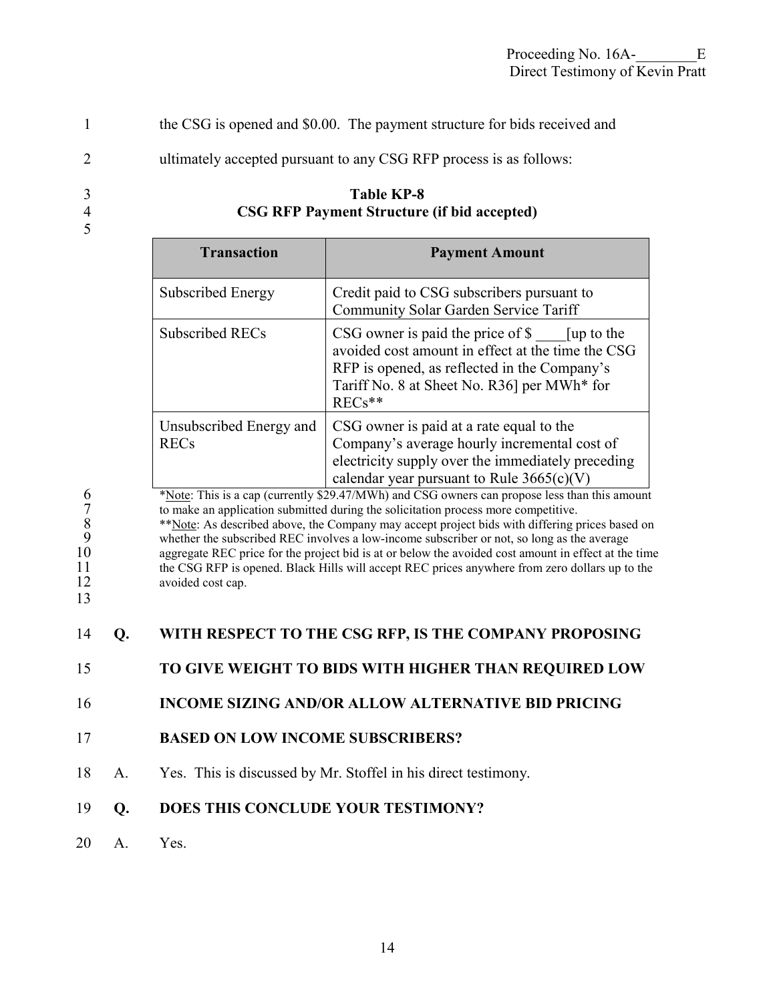1 the CSG is opened and \$0.00. The payment structure for bids received and

2 ultimately accepted pursuant to any CSG RFP process is as follows:

# 3 **Table KP-8**  4 **CSG RFP Payment Structure (if bid accepted)**

| <b>Transaction</b>                     | <b>Payment Amount</b>                                                                                                                                                                                                          |
|----------------------------------------|--------------------------------------------------------------------------------------------------------------------------------------------------------------------------------------------------------------------------------|
| Subscribed Energy                      | Credit paid to CSG subscribers pursuant to<br>Community Solar Garden Service Tariff                                                                                                                                            |
| Subscribed RECs                        | $\text{CSG}$ owner is paid the price of $\text{\$}$ [up to the<br>avoided cost amount in effect at the time the CSG<br>RFP is opened, as reflected in the Company's<br>Tariff No. 8 at Sheet No. R36] per MWh* for<br>$RECs**$ |
| Unsubscribed Energy and<br><b>RECs</b> | CSG owner is paid at a rate equal to the<br>Company's average hourly incremental cost of<br>electricity supply over the immediately preceding<br>calendar year pursuant to Rule $3665(c)(V)$                                   |

5

<sup>\*</sup>Note: This is a cap (currently \$29.47/MWh) and CSG owners can propose less than this amount<br>
to make an application submitted during the solicitation process more competitive.<br>
<sup>\*</sup>Note: As described above, the Company m to make an application submitted during the solicitation process more competitive. \*\*Note: As described above, the Company may accept project bids with differing prices based on 9 whether the subscribed REC involves a low-income subscriber or not, so long as the average aggregate REC price for the project bid is at or below the avoided cost amount in effect at the 10 aggregate REC price for the project bid is at or below the avoided cost amount in effect at the time<br>11 be CSG RFP is opened. Black Hills will accept REC prices anywhere from zero dollars up to the 11 the CSG RFP is opened. Black Hills will accept REC prices anywhere from zero dollars up to the avoided cost cap. avoided cost cap.

13

| 14 <b>Q.</b> | WITH RESPECT TO THE CSG RFP, IS THE COMPANY PROPOSING |
|--------------|-------------------------------------------------------|
|--------------|-------------------------------------------------------|

15 **TO GIVE WEIGHT TO BIDS WITH HIGHER THAN REQUIRED LOW** 

16 **INCOME SIZING AND/OR ALLOW ALTERNATIVE BID PRICING** 

- 17 **BASED ON LOW INCOME SUBSCRIBERS?**
- 18 A. Yes. This is discussed by Mr. Stoffel in his direct testimony.

# 19 **Q. DOES THIS CONCLUDE YOUR TESTIMONY?**

20 A. Yes.